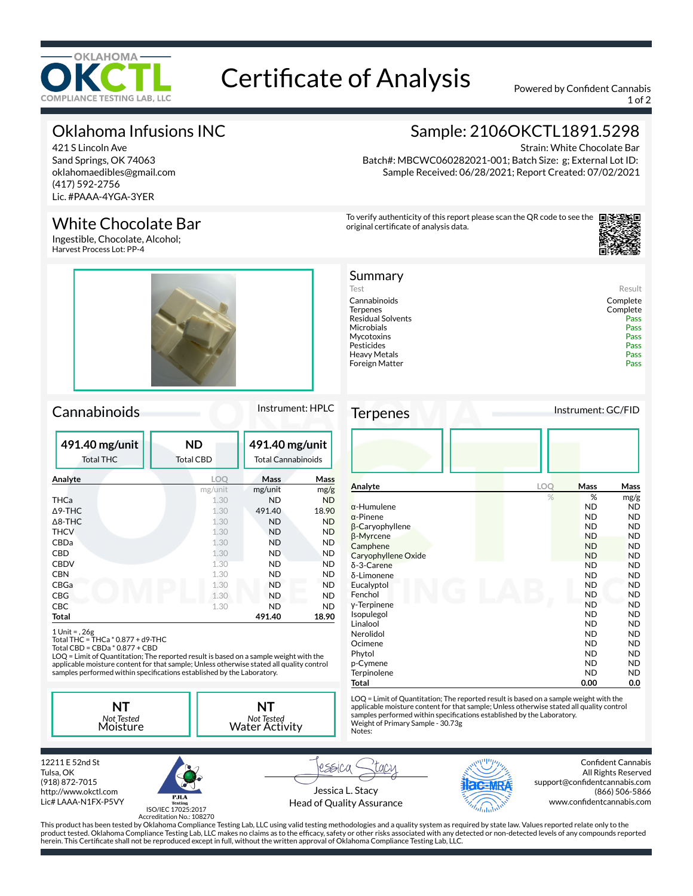

# Certificate of Analysis Powered by Confident Cannabis

1 of 2

Strain: White Chocolate Bar

Sample: 2106OKCTL1891.5298

Batch#: MBCWC060282021-001; Batch Size: g; External Lot ID: Sample Received: 06/28/2021; Report Created: 07/02/2021

Test Result Cannabinoids Complete

Residual Solvents<br>
Microbials<br>
Pass Pass Microbials Pass

Pesticides Pass Heavy Metals Pass<br>
Foreign Matter Pass

To verify authenticity of this report please scan the QR code to see the

original certificate of analysis data.

Summary

Mycotoxins

Foreign Matter

# Oklahoma Infusions INC

421 S Lincoln Ave Sand Springs, OK 74063 oklahomaedibles@gmail.com (417) 592-2756 Lic. #PAAA-4YGA-3YER

### White Chocolate Bar

Ingestible, Chocolate, Alcohol; Harvest Process Lot: PP-4

### Cannabinoids Instrument: HPLC

| 491.40 mg/unit<br><b>Total THC</b> | <b>ND</b><br><b>Total CBD</b> | 491.40 mg/unit<br><b>Total Cannabinoids</b> |           |
|------------------------------------|-------------------------------|---------------------------------------------|-----------|
| Analyte                            | LOO                           | Mass                                        | Mass      |
|                                    | mg/unit                       | mg/unit                                     | mg/g      |
| THCa                               | 1.30                          | <b>ND</b>                                   | <b>ND</b> |
| $\Delta$ 9-THC                     | 1.30                          | 491.40                                      | 18.90     |
| $\triangle$ 8-THC                  | 1.30                          | <b>ND</b>                                   | <b>ND</b> |
| <b>THCV</b>                        | 1.30                          | <b>ND</b>                                   | ND        |
| CBDa                               | 1.30                          | <b>ND</b>                                   | ND        |
| CBD                                | 1.30                          | <b>ND</b>                                   | <b>ND</b> |
| <b>CBDV</b>                        | 1.30                          | ND                                          | ND        |
| <b>CBN</b>                         | 1.30                          | ND                                          | <b>ND</b> |
| CBGa                               | 1.30                          | <b>ND</b>                                   | <b>ND</b> |
| <b>CBG</b>                         | 1.30                          | ND                                          | <b>ND</b> |
| <b>CBC</b>                         | 1.30                          | ND                                          | <b>ND</b> |
| Total                              |                               | 491.40                                      | 18.90     |

1 Unit = , 26g Total THC = THCa \* 0.877 + d9-THC Total CBD = CBDa \* 0.877 + CBD

LOQ = Limit of Quantitation; The reported result is based on a sample weight with the applicable moisture content for that sample; Unless otherwise stated all quality control<br>samples performed within specifications established by the Laboratory.

**NT** *Not Tested* Moisture *Not Tested* Water Activity





ISO/IEC 17025:2017 Accreditation No.: 108270

Jessica L. Stacy Head of Quality Assurance

This product has been tested by Oklahoma Compliance Testing Lab, LLC using valid testing methodologies and a quality system as required by state law. Values reported relate only to the product tested. Oklahoma Compliance Testing Lab, LLC makes no claims as to the efficacy, safety or other risks associated with any detected or non-detected levels of any compounds reported



Confident Cannabis All Rights Reserved support@confidentcannabis.com (866) 506-5866 www.confidentcannabis.com

herein. This Certificate shall not be reproduced except in full, without the written approval of Oklahoma Compliance Testing Lab, LLC.

**NT**

rssica

Complete<br>Pass

| Analyte                | LOQ | <b>Mass</b> | Mass      |
|------------------------|-----|-------------|-----------|
|                        | %   | %           | mg/g      |
| $\alpha$ -Humulene     |     | <b>ND</b>   | ND.       |
| $\alpha$ -Pinene       |     | <b>ND</b>   | ND.       |
| $\beta$ -Caryophyllene |     | <b>ND</b>   | <b>ND</b> |
| β-Myrcene              |     | <b>ND</b>   | <b>ND</b> |
| Camphene               |     | <b>ND</b>   | ND.       |
| Caryophyllene Oxide    |     | <b>ND</b>   | <b>ND</b> |
| $\delta$ -3-Carene     |     | <b>ND</b>   | ND.       |
| δ-Limonene             |     | <b>ND</b>   | ND.       |
| Eucalyptol             |     | <b>ND</b>   | <b>ND</b> |
| Fenchol                |     | <b>ND</b>   | ND.       |
| y-Terpinene            |     | <b>ND</b>   | ND.       |
| Isopulegol             |     | <b>ND</b>   | <b>ND</b> |
| Linalool               |     | <b>ND</b>   | ND.       |
| Nerolidol              |     | <b>ND</b>   | ND.       |
| Ocimene                |     | <b>ND</b>   | <b>ND</b> |
| Phytol                 |     | <b>ND</b>   | ND.       |
| p-Cymene               |     | <b>ND</b>   | ND.       |
| Terpinolene            |     | <b>ND</b>   | ND.       |
| Total                  |     | 0.00        | 0.0       |

LOQ = Limit of Quantitation; The reported result is based on a sample weight with the applicable moisture content for that sample; Unless otherwise stated all quality control samples performed within specifications established by the Laboratory.<br>Weight of Primary Sample - 30.73g Notes:

Terpenes Instrument: GC/FID